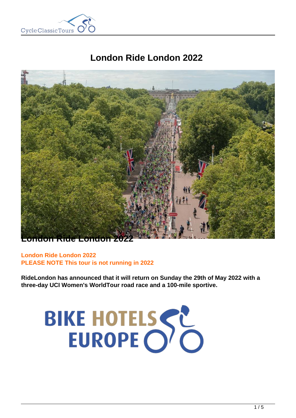

# **London Ride London 2022**



**London Ride London 2022 PLEASE NOTE This tour is not running in 2022**

**RideLondon has announced that it will return on Sunday the 29th of May 2022 with a three-day UCI Women's WorldTour road race and a 100-mile sportive.**

# BIKE HOTELSSE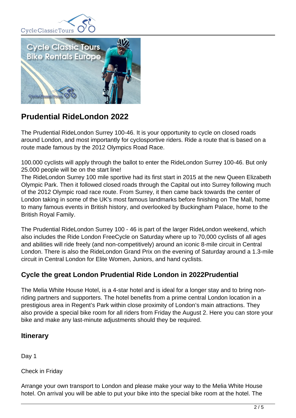



# **Prudential RideLondon 2022**

The Prudential RideLondon Surrey 100-46. It is your opportunity to cycle on closed roads around London, and most importantly for cyclosportive riders. Ride a route that is based on a route made famous by the 2012 Olympics Road Race.

100.000 cyclists will apply through the ballot to enter the RideLondon Surrey 100-46. But only 25.000 people will be on the start line!

The RideLondon Surrey 100 mile sportive had its first start in 2015 at the new Queen Elizabeth Olympic Park. Then it followed closed roads through the Capital out into Surrey following much of the 2012 Olympic road race route. From Surrey, it then came back towards the center of London taking in some of the UK's most famous landmarks before finishing on The Mall, home to many famous events in British history, and overlooked by Buckingham Palace, home to the British Royal Family.

The Prudential RideLondon Surrey 100 - 46 is part of the larger RideLondon weekend, which also includes the Ride London FreeCycle on Saturday where up to 70,000 cyclists of all ages and abilities will ride freely (and non-competitively) around an iconic 8-mile circuit in Central London. There is also the RideLondon Grand Prix on the evening of Saturday around a 1.3-mile circuit in Central London for Elite Women, Juniors, and hand cyclists.

# **Cycle the great London Prudential Ride London in 2022Prudential**

The Melia White House Hotel, is a 4-star hotel and is ideal for a longer stay and to bring nonriding partners and supporters. The hotel benefits from a prime central London location in a prestigious area in Regent's Park within close proximity of London's main attractions. They also provide a special bike room for all riders from Friday the August 2. Here you can store your bike and make any last-minute adjustments should they be required.

## **Itinerary**

Day 1

Check in Friday

Arrange your own transport to London and please make your way to the Melia White House hotel. On arrival you will be able to put your bike into the special bike room at the hotel. The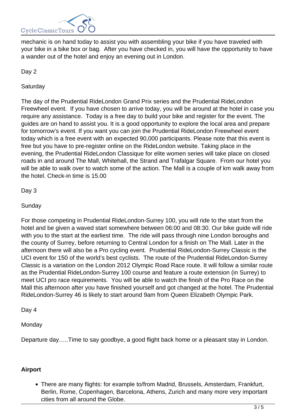

mechanic is on hand today to assist you with assembling your bike if you have traveled with your bike in a bike box or bag. After you have checked in, you will have the opportunity to have a wander out of the hotel and enjoy an evening out in London.

Day 2

**Saturday** 

The day of the Prudential RideLondon Grand Prix series and the Prudential RideLondon Freewheel event. If you have chosen to arrive today, you will be around at the hotel in case you require any assistance. Today is a free day to build your bike and register for the event. The guides are on hand to assist you. It is a good opportunity to explore the local area and prepare for tomorrow's event. If you want you can join the Prudential RideLondon Freewheel event today which is a free event with an expected 90,000 participants. Please note that this event is free but you have to pre-register online on the RideLondon website. Taking place in the evening, the Prudential RideLondon Classique for elite women series will take place on closed roads in and around The Mall, Whitehall, the Strand and Trafalgar Square. From our hotel you will be able to walk over to watch some of the action. The Mall is a couple of km walk away from the hotel. Check-in time is 15.00

Day 3

**Sunday** 

For those competing in Prudential RideLondon-Surrey 100, you will ride to the start from the hotel and be given a waved start somewhere between 06:00 and 08:30. Our bike guide will ride with you to the start at the earliest time. The ride will pass through nine London boroughs and the county of Surrey, before returning to Central London for a finish on The Mall. Later in the afternoon there will also be a Pro cycling event. Prudential RideLondon-Surrey Classic is the UCI event for 150 of the world's best cyclists. The route of the Prudential RideLondon-Surrey Classic is a variation on the London 2012 Olympic Road Race route. It will follow a similar route as the Prudential RideLondon-Surrey 100 course and feature a route extension (in Surrey) to meet UCI pro race requirements. You will be able to watch the finish of the Pro Race on the Mall this afternoon after you have finished yourself and got changed at the hotel. The Prudential RideLondon-Surrey 46 is likely to start around 9am from Queen Elizabeth Olympic Park.

Day 4

**Monday** 

Departure day…..Time to say goodbye, a good flight back home or a pleasant stay in London.

## **Airport**

There are many flights: for example to/from Madrid, Brussels, Amsterdam, Frankfurt, Berlin, Rome, Copenhagen, Barcelona, Athens, Zurich and many more very important cities from all around the Globe.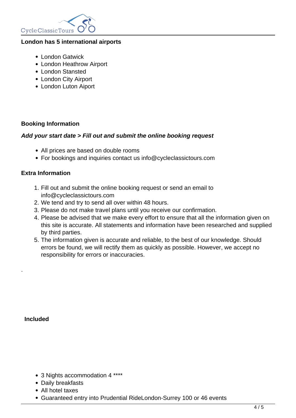

#### **London has 5 international airports**

- London Gatwick
- London Heathrow Airport
- London Stansted
- London City Airport
- London Luton Aiport

#### **Booking Information**

#### **Add your start date > Fill out and submit the online booking request**

- All prices are based on double rooms
- For bookings and inquiries contact us info@cycleclassictours.com

#### **Extra Information**

- 1. Fill out and submit the online booking request or send an email to info@cycleclassictours.com
- 2. We tend and try to send all over within 48 hours.
- 3. Please do not make travel plans until you receive our confirmation.
- 4. Please be advised that we make every effort to ensure that all the information given on this site is accurate. All statements and information have been researched and supplied by third parties.
- 5. The information given is accurate and reliable, to the best of our knowledge. Should errors be found, we will rectify them as quickly as possible. However, we accept no responsibility for errors or inaccuracies.

 **Included** 

.

- 3 Nights accommodation 4 \*\*\*\*
- Daily breakfasts
- All hotel taxes
- Guaranteed entry into Prudential RideLondon-Surrey 100 or 46 events